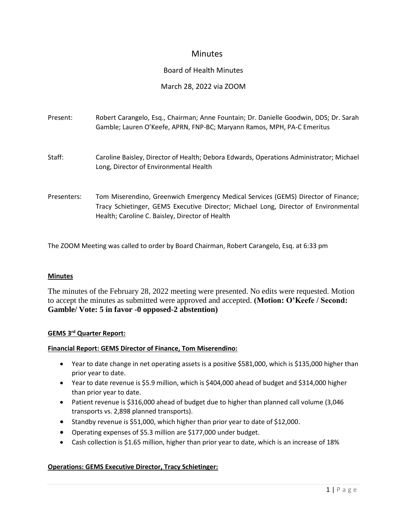# **Minutes**

# Board of Health Minutes

# March 28, 2022 via ZOOM

| Present:    | Robert Carangelo, Esq., Chairman; Anne Fountain; Dr. Danielle Goodwin, DDS; Dr. Sarah<br>Gamble; Lauren O'Keefe, APRN, FNP-BC; Maryann Ramos, MPH, PA-C Emeritus                                                            |
|-------------|-----------------------------------------------------------------------------------------------------------------------------------------------------------------------------------------------------------------------------|
| Staff:      | Caroline Baisley, Director of Health; Debora Edwards, Operations Administrator; Michael<br>Long, Director of Environmental Health                                                                                           |
| Presenters: | Tom Miserendino, Greenwich Emergency Medical Services (GEMS) Director of Finance;<br>Tracy Schietinger, GEMS Executive Director; Michael Long, Director of Environmental<br>Health; Caroline C. Baisley, Director of Health |

The ZOOM Meeting was called to order by Board Chairman, Robert Carangelo, Esq. at 6:33 pm

#### **Minutes**

The minutes of the February 28, 2022 meeting were presented. No edits were requested. Motion to accept the minutes as submitted were approved and accepted. **(Motion: O'Keefe / Second: Gamble/ Vote: 5 in favor -0 opposed-2 abstention)**

### **GEMS 3 rd Quarter Report:**

#### **Financial Report: GEMS Director of Finance, Tom Miserendino:**

- Year to date change in net operating assets is a positive \$581,000, which is \$135,000 higher than prior year to date.
- Year to date revenue is \$5.9 million, which is \$404,000 ahead of budget and \$314,000 higher than prior year to date.
- Patient revenue is \$316,000 ahead of budget due to higher than planned call volume (3,046 transports vs. 2,898 planned transports).
- Standby revenue is \$51,000, which higher than prior year to date of \$12,000.
- Operating expenses of \$5.3 million are \$177,000 under budget.
- Cash collection is \$1.65 million, higher than prior year to date, which is an increase of 18%

### **Operations: GEMS Executive Director, Tracy Schietinger:**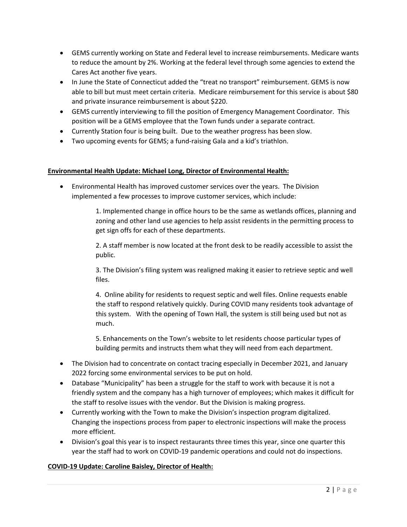- GEMS currently working on State and Federal level to increase reimbursements. Medicare wants to reduce the amount by 2%. Working at the federal level through some agencies to extend the Cares Act another five years.
- In June the State of Connecticut added the "treat no transport" reimbursement. GEMS is now able to bill but must meet certain criteria. Medicare reimbursement for this service is about \$80 and private insurance reimbursement is about \$220.
- GEMS currently interviewing to fill the position of Emergency Management Coordinator. This position will be a GEMS employee that the Town funds under a separate contract.
- Currently Station four is being built. Due to the weather progress has been slow.
- Two upcoming events for GEMS; a fund-raising Gala and a kid's triathlon.

### **Environmental Health Update: Michael Long, Director of Environmental Health:**

• Environmental Health has improved customer services over the years. The Division implemented a few processes to improve customer services, which include:

> 1. Implemented change in office hours to be the same as wetlands offices, planning and zoning and other land use agencies to help assist residents in the permitting process to get sign offs for each of these departments.

2. A staff member is now located at the front desk to be readily accessible to assist the public.

3. The Division's filing system was realigned making it easier to retrieve septic and well files.

4. Online ability for residents to request septic and well files. Online requests enable the staff to respond relatively quickly. During COVID many residents took advantage of this system. With the opening of Town Hall, the system is still being used but not as much.

5. Enhancements on the Town's website to let residents choose particular types of building permits and instructs them what they will need from each department.

- The Division had to concentrate on contact tracing especially in December 2021, and January 2022 forcing some environmental services to be put on hold.
- Database "Municipality" has been a struggle for the staff to work with because it is not a friendly system and the company has a high turnover of employees; which makes it difficult for the staff to resolve issues with the vendor. But the Division is making progress.
- Currently working with the Town to make the Division's inspection program digitalized. Changing the inspections process from paper to electronic inspections will make the process more efficient.
- Division's goal this year is to inspect restaurants three times this year, since one quarter this year the staff had to work on COVID-19 pandemic operations and could not do inspections.

### **COVID-19 Update: Caroline Baisley, Director of Health:**